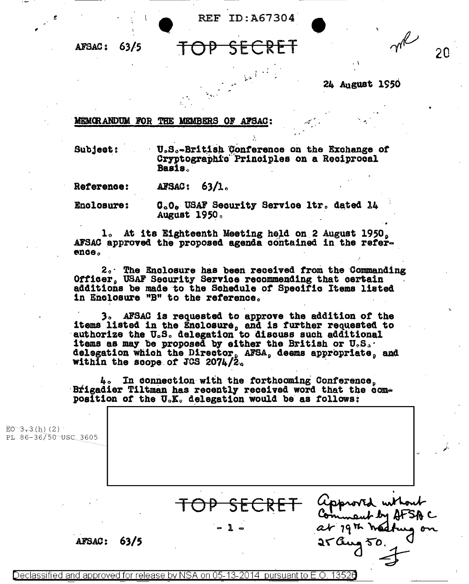REF ID: A67304

 $63/5$ **AFSAC:** 

20

24 August 1950

## MEMORANDUM FOR THE MEMBERS OF AFSAC:

Subject: U.S.-British Conference on the Exchange of Cryptographic Principles on a Reciprocal Basis.

AFSAC: 63/1. Reference:

**Enclosure:** C.O. USAF Security Service ltr. dated 14 August 1950.

1. At its Eighteenth Meeting held on 2 August 1950, AFSAC approved the proposed agenda contained in the reference.

2. The Enclosure has been received from the Commanding Officer, USAF Security Service recommending that certain additions be made to the Schedule of Specific Items listed in Enclosure "B" to the reference.

3. AFSAC is requested to approve the addition of the items listed in the Enclosure, and is further requested to authorize the U.S. delegation to discuss such additional items as may be proposed by either the British or  $\mathbf{U}_s \mathbf{S}_s$ . delegation which the Director, AFSA, deems appropriate, and within the scope of JCS 2074/2.

4. In connection with the forthooming Conference. Brigadier Tiltman has recently received word that the composition of the U.K. delegation would be as follows:

| $E0 - 3 - 3(h) (2)$<br>PL 86-36/50 USC 3605          |                                 |
|------------------------------------------------------|---------------------------------|
| $\cdot$<br>$\sim$ 100 $\pm$<br><b>AFSAC:</b><br>63/5 | approved without<br>at 19th had |

Declassified and approved for release by NSA on 05-13-2014 pursuant to E.O. 13526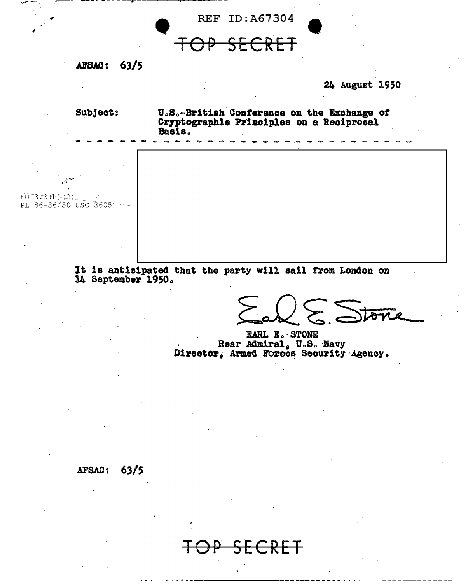

It is anticipated that the party will sail from London on 14 September 1950.

 $\epsilon$ . Stone

EARL E. STONE Rear Admiral, U.S. Navy<br>Director, Armed Forces Security Agency.

## AFSAC: 63/5